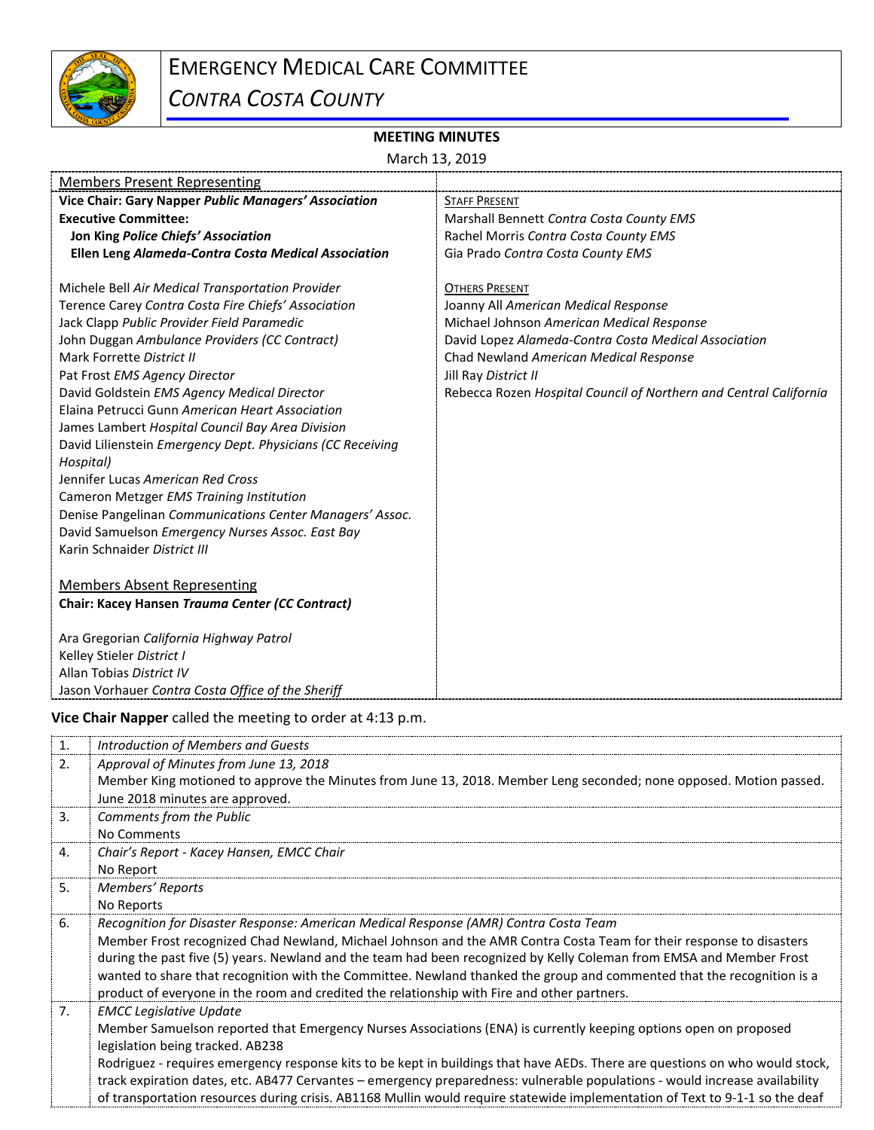

## EMERGENCY MEDICAL CARE COMMITTEE

*CONTRA COSTA COUNTY*

## **MEETING MINUTES**

March 13, 2019

| <b>Members Present Representing</b>                                                                                                                                                                                                                                                                                                                                                                                                                                                                                                                                                                                                                                                                                                                                                                                                                                                                     |                                                                                                                                                                                                                                                                                                           |  |
|---------------------------------------------------------------------------------------------------------------------------------------------------------------------------------------------------------------------------------------------------------------------------------------------------------------------------------------------------------------------------------------------------------------------------------------------------------------------------------------------------------------------------------------------------------------------------------------------------------------------------------------------------------------------------------------------------------------------------------------------------------------------------------------------------------------------------------------------------------------------------------------------------------|-----------------------------------------------------------------------------------------------------------------------------------------------------------------------------------------------------------------------------------------------------------------------------------------------------------|--|
| Vice Chair: Gary Napper Public Managers' Association                                                                                                                                                                                                                                                                                                                                                                                                                                                                                                                                                                                                                                                                                                                                                                                                                                                    | <b>STAFF PRESENT</b>                                                                                                                                                                                                                                                                                      |  |
| <b>Executive Committee:</b>                                                                                                                                                                                                                                                                                                                                                                                                                                                                                                                                                                                                                                                                                                                                                                                                                                                                             | Marshall Bennett Contra Costa County EMS                                                                                                                                                                                                                                                                  |  |
| Jon King Police Chiefs' Association                                                                                                                                                                                                                                                                                                                                                                                                                                                                                                                                                                                                                                                                                                                                                                                                                                                                     | Rachel Morris Contra Costa County EMS                                                                                                                                                                                                                                                                     |  |
| Ellen Leng Alameda-Contra Costa Medical Association                                                                                                                                                                                                                                                                                                                                                                                                                                                                                                                                                                                                                                                                                                                                                                                                                                                     | Gia Prado Contra Costa County EMS                                                                                                                                                                                                                                                                         |  |
| Michele Bell Air Medical Transportation Provider<br>Terence Carey Contra Costa Fire Chiefs' Association<br>Jack Clapp Public Provider Field Paramedic<br>John Duggan Ambulance Providers (CC Contract)<br>Mark Forrette District II<br>Pat Frost EMS Agency Director<br>David Goldstein EMS Agency Medical Director<br>Elaina Petrucci Gunn American Heart Association<br>James Lambert Hospital Council Bay Area Division<br>David Lilienstein Emergency Dept. Physicians (CC Receiving<br>Hospital)<br>Jennifer Lucas American Red Cross<br>Cameron Metzger EMS Training Institution<br>Denise Pangelinan Communications Center Managers' Assoc.<br>David Samuelson Emergency Nurses Assoc. East Bay<br>Karin Schnaider District III<br><b>Members Absent Representing</b><br>Chair: Kacey Hansen Trauma Center (CC Contract)<br>Ara Gregorian California Highway Patrol<br>Kelley Stieler District I | <b>OTHERS PRESENT</b><br>Joanny All American Medical Response<br>Michael Johnson American Medical Response<br>David Lopez Alameda-Contra Costa Medical Association<br>Chad Newland American Medical Response<br>Jill Ray District II<br>Rebecca Rozen Hospital Council of Northern and Central California |  |
|                                                                                                                                                                                                                                                                                                                                                                                                                                                                                                                                                                                                                                                                                                                                                                                                                                                                                                         |                                                                                                                                                                                                                                                                                                           |  |
| Allan Tobias District IV                                                                                                                                                                                                                                                                                                                                                                                                                                                                                                                                                                                                                                                                                                                                                                                                                                                                                |                                                                                                                                                                                                                                                                                                           |  |
| Jason Vorhauer Contra Costa Office of the Sheriff                                                                                                                                                                                                                                                                                                                                                                                                                                                                                                                                                                                                                                                                                                                                                                                                                                                       |                                                                                                                                                                                                                                                                                                           |  |

**Vice Chair Napper** called the meeting to order at 4:13 p.m.

| 1. | Introduction of Members and Guests                                                                                           |
|----|------------------------------------------------------------------------------------------------------------------------------|
| 2. | Approval of Minutes from June 13, 2018                                                                                       |
|    | Member King motioned to approve the Minutes from June 13, 2018. Member Leng seconded; none opposed. Motion passed.           |
|    | June 2018 minutes are approved.                                                                                              |
| 3. | Comments from the Public                                                                                                     |
|    | No Comments                                                                                                                  |
| 4. | Chair's Report - Kacey Hansen, EMCC Chair                                                                                    |
|    | No Report                                                                                                                    |
| 5. | Members' Reports                                                                                                             |
|    | No Reports                                                                                                                   |
| 6. | Recognition for Disaster Response: American Medical Response (AMR) Contra Costa Team                                         |
|    | Member Frost recognized Chad Newland, Michael Johnson and the AMR Contra Costa Team for their response to disasters          |
|    | during the past five (5) years. Newland and the team had been recognized by Kelly Coleman from EMSA and Member Frost         |
|    | wanted to share that recognition with the Committee. Newland thanked the group and commented that the recognition is a       |
|    | product of everyone in the room and credited the relationship with Fire and other partners.                                  |
| 7. | <b>EMCC Legislative Update</b>                                                                                               |
|    | Member Samuelson reported that Emergency Nurses Associations (ENA) is currently keeping options open on proposed             |
|    | legislation being tracked. AB238                                                                                             |
|    | Rodriguez - requires emergency response kits to be kept in buildings that have AEDs. There are questions on who would stock, |
|    | track expiration dates, etc. AB477 Cervantes – emergency preparedness: vulnerable populations - would increase availability  |
|    | of transportation resources during crisis. AB1168 Mullin would require statewide implementation of Text to 9-1-1 so the deaf |